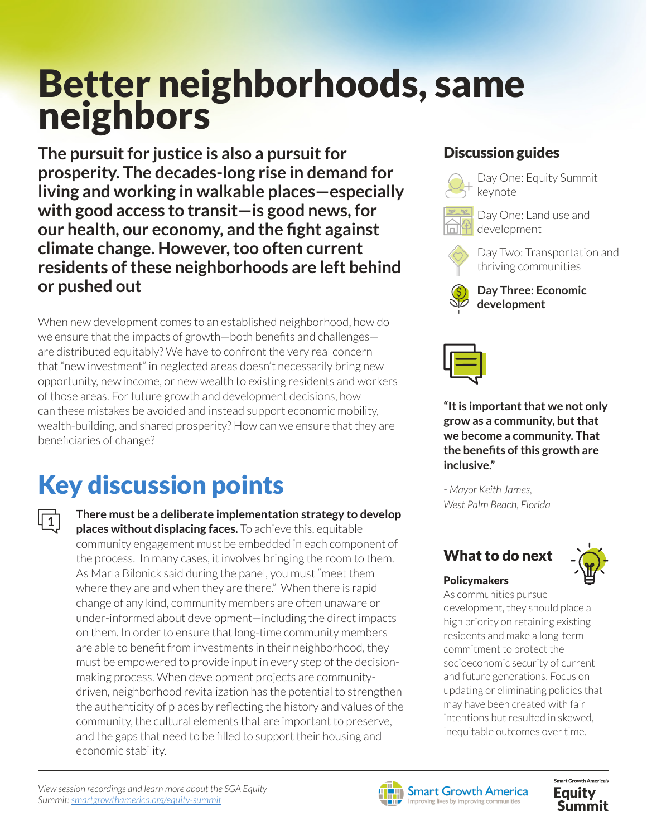# Better neighborhoods, same neighbors

**The pursuit for justice is also a pursuit for prosperity. The decades-long rise in demand for living and working in walkable places—especially with good access to transit—is good news, for our health, our economy, and the fight against climate change. However, too often current residents of these neighborhoods are left behind or pushed out**

When new development comes to an established neighborhood, how do we ensure that the impacts of growth—both benefits and challenges are distributed equitably? We have to confront the very real concern that "new investment" in neglected areas doesn't necessarily bring new opportunity, new income, or new wealth to existing residents and workers of those areas. For future growth and development decisions, how can these mistakes be avoided and instead support economic mobility, wealth-building, and shared prosperity? How can we ensure that they are beneficiaries of change?

## Key discussion points

**1**

**There must be a deliberate implementation strategy to develop places without displacing faces.** To achieve this, equitable community engagement must be embedded in each component of the process. In many cases, it involves bringing the room to them. As Marla Bilonick said during the panel, you must "meet them where they are and when they are there." When there is rapid change of any kind, community members are often unaware or under-informed about development—including the direct impacts on them. In order to ensure that long-time community members are able to benefit from investments in their neighborhood, they must be empowered to provide input in every step of the decisionmaking process. When development projects are communitydriven, neighborhood revitalization has the potential to strengthen the authenticity of places by reflecting the history and values of the community, the cultural elements that are important to preserve, and the gaps that need to be filled to support their housing and economic stability.

### Discussion guides



Day One: Equity Summit keynote



Day One: Land use and development



Day Two: Transportation and thriving communities







**"It is important that we not only grow as a community, but that we become a community. That the benefits of this growth are inclusive."** 

*- Mayor Keith James, West Palm Beach, Florida* 

## What to do next



#### Policymakers

As communities pursue development, they should place a high priority on retaining existing residents and make a long-term commitment to protect the socioeconomic security of current and future generations. Focus on updating or eliminating policies that may have been created with fair intentions but resulted in skewed, inequitable outcomes over time.